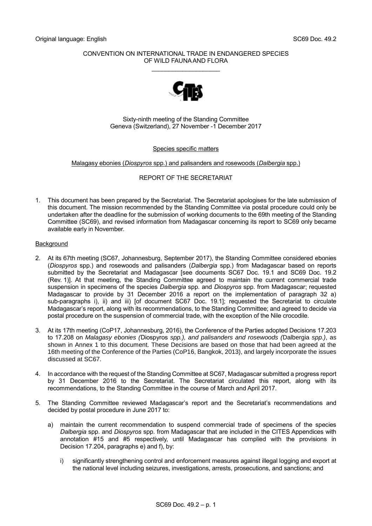## CONVENTION ON INTERNATIONAL TRADE IN ENDANGERED SPECIES OF WILD FAUNA AND FLORA

\_\_\_\_\_\_\_\_\_\_\_\_\_\_\_\_\_\_\_\_



Sixty-ninth meeting of the Standing Committee Geneva (Switzerland), 27 November -1 December 2017

# Species specific matters

# Malagasy ebonies (*Diospyros* spp.) and palisanders and rosewoods (*Dalbergia* spp.)

# REPORT OF THE SECRETARIAT

1. This document has been prepared by the Secretariat. The Secretariat apologises for the late submission of this document. The mission recommended by the Standing Committee via postal procedure could only be undertaken after the deadline for the submission of working documents to the 69th meeting of the Standing Committee (SC69), and revised information from Madagascar concerning its report to SC69 only became available early in November.

## Background

- 2. At its 67th meeting (SC67, Johannesburg, September 2017), the Standing Committee considered ebonies (*Diospyros* spp.) and rosewoods and palisanders (*Dalbergia* spp.) from Madagascar based on reports submitted by the Secretariat and Madagascar [see documents SC67 Doc. 19.1 and SC69 Doc. 19.2 (Rev. 1)]. At that meeting, the Standing Committee agreed to maintain the current commercial trade suspension in specimens of the species *Dalbergia* spp. and *Diospyros* spp. from Madagascar; requested Madagascar to provide by 31 December 2016 a report on the implementation of paragraph 32 a) sub-paragraphs i), ii) and iii) [of document SC67 Doc. 19.1]; requested the Secretariat to circulate Madagascar's report, along with its recommendations, to the Standing Committee; and agreed to decide via postal procedure on the suspension of commercial trade, with the exception of the Nile crocodile.
- 3. At its 17th meeting (CoP17, Johannesburg, 2016), the Conference of the Parties adopted Decisions 17.203 to 17.208 on *Malagasy ebonies (*Diospyros *spp.), and palisanders and rosewoods (*Dalbergia *spp.)*, as shown in Annex 1 to this document. These Decisions are based on those that had been agreed at the 16th meeting of the Conference of the Parties (CoP16, Bangkok, 2013), and largely incorporate the issues discussed at SC67.
- 4. In accordance with the request of the Standing Committee at SC67, Madagascar submitted a progress report by 31 December 2016 to the Secretariat. The Secretariat circulated this report, along with its recommendations, to the Standing Committee in the course of March and April 2017.
- 5. The Standing Committee reviewed Madagascar's report and the Secretariat's recommendations and decided by postal procedure in June 2017 to:
	- a) maintain the current recommendation to suspend commercial trade of specimens of the species *Dalbergia* spp. and *Diospyros* spp. from Madagascar that are included in the CITES Appendices with annotation #15 and #5 respectively, until Madagascar has complied with the provisions in Decision 17.204, paragraphs e) and f), by:
		- i) significantly strengthening control and enforcement measures against illegal logging and export at the national level including seizures, investigations, arrests, prosecutions, and sanctions; and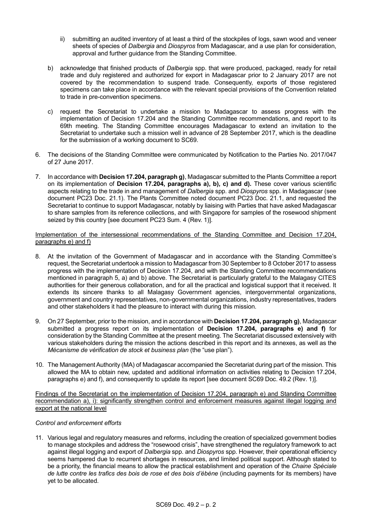- ii) submitting an audited inventory of at least a third of the stockpiles of logs, sawn wood and veneer sheets of species of *Dalbergia* and *Diospyros* from Madagascar, and a use plan for consideration, approval and further guidance from the Standing Committee.
- b) acknowledge that finished products of *Dalbergia* spp. that were produced, packaged, ready for retail trade and duly registered and authorized for export in Madagascar prior to 2 January 2017 are not covered by the recommendation to suspend trade. Consequently, exports of those registered specimens can take place in accordance with the relevant special provisions of the Convention related to trade in pre-convention specimens.
- c) request the Secretariat to undertake a mission to Madagascar to assess progress with the implementation of Decision 17.204 and the Standing Committee recommendations, and report to its 69th meeting. The Standing Committee encourages Madagascar to extend an invitation to the Secretariat to undertake such a mission well in advance of 28 September 2017, which is the deadline for the submission of a working document to SC69.
- 6. The decisions of the Standing Committee were communicated by Notification to the Parties No. 2017/047 of 27 June 2017.
- 7. In accordance with **Decision 17.204, paragraph g)**, Madagascar submitted to the Plants Committee a report on its implementation of **Decision 17.204, paragraphs a), b), c) and d).** These cover various scientific aspects relating to the trade in and management of *Dalbergia* spp. and *Diospyros* spp. in Madagascar (see document PC23 Doc. 21.1). The Plants Committee noted document PC23 Doc. 21.1, and requested the Secretariat to continue to support Madagascar, notably by liaising with Parties that have asked Madagascar to share samples from its reference collections, and with Singapore for samples of the rosewood shipment seized by this country [see document PC23 Sum. 4 (Rev. 1)].

# Implementation of the intersessional recommendations of the Standing Committee and Decision 17.204, paragraphs e) and f)

- 8. At the invitation of the Government of Madagascar and in accordance with the Standing Committee's request, the Secretariat undertook a mission to Madagascar from 30 September to 8 October 2017 to assess progress with the implementation of Decision 17.204, and with the Standing Committee recommendations mentioned in paragraph 5, a) and b) above. The Secretariat is particularly grateful to the Malagasy CITES authorities for their generous collaboration, and for all the practical and logistical support that it received. It extends its sincere thanks to all Malagasy Government agencies, intergovernmental organizations, government and country representatives, non-governmental organizations, industry representatives, traders and other stakeholders it had the pleasure to interact with during this mission.
- 9. On 27 September, prior to the mission, and in accordance with **Decision 17.204, paragraph g)**, Madagascar submitted a progress report on its implementation of **Decision 17.204, paragraphs e) and f)** for consideration by the Standing Committee at the present meeting. The Secretariat discussed extensively with various stakeholders during the mission the actions described in this report and its annexes, as well as the *Mécanisme de vérification de stock et business plan* (the "use plan").
- 10. The Management Authority (MA) of Madagascar accompanied the Secretariat during part of the mission. This allowed the MA to obtain new, updated and additional information on activities relating to Decision 17.204, paragraphs e) and f), and consequently to update its report [see document SC69 Doc. 49.2 (Rev. 1)].

Findings of the Secretariat on the implementation of Decision 17.204, paragraph e) and Standing Committee recommendation a), i): significantly strengthen control and enforcement measures against illegal logging and export at the national level

# *Control and enforcement efforts*

11. Various legal and regulatory measures and reforms, including the creation of specialized government bodies to manage stockpiles and address the "rosewood crisis", have strengthened the regulatory framework to act against illegal logging and export of *Dalbergia* spp. and *Diospyros* spp. However, their operational efficiency seems hampered due to recurrent shortages in resources, and limited political support. Although stated to be a priority, the financial means to allow the practical establishment and operation of the *Chaine Spéciale de lutte contre les trafics des bois de rose et des bois d'ébène* (including payments for its members) have yet to be allocated.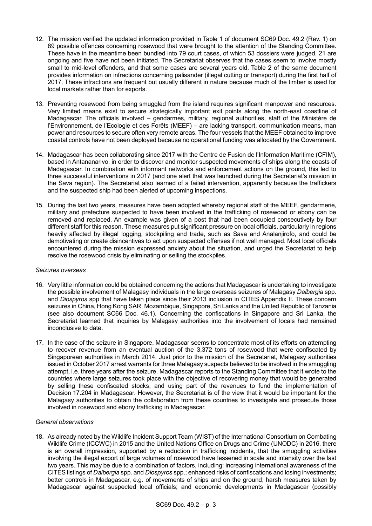- 12. The mission verified the updated information provided in Table 1 of document SC69 Doc. 49.2 (Rev. 1) on 89 possible offences concerning rosewood that were brought to the attention of the Standing Committee. These have in the meantime been bundled into 79 court cases, of which 53 dossiers were judged, 21 are ongoing and five have not been initiated. The Secretariat observes that the cases seem to involve mostly small to mid-level offenders, and that some cases are several years old. Table 2 of the same document provides information on infractions concerning palisander (illegal cutting or transport) during the first half of 2017. These infractions are frequent but usually different in nature because much of the timber is used for local markets rather than for exports.
- 13. Preventing rosewood from being smuggled from the island requires significant manpower and resources. Very limited means exist to secure strategically important exit points along the north-east coastline of Madagascar. The officials involved – gendarmes, military, regional authorities, staff of the Ministère de l'Environnement, de l'Ecologie et des Forêts (MEEF) – are lacking transport, communication means, man power and resources to secure often very remote areas. The four vessels that the MEEF obtained to improve coastal controls have not been deployed because no operational funding was allocated by the Government.
- 14. Madagascar has been collaborating since 2017 with the Centre de Fusion de l'Information Maritime (CFIM), based in Antananarivo, in order to discover and monitor suspected movements of ships along the coasts of Madagascar. In combination with informant networks and enforcement actions on the ground, this led to three successful interventions in 2017 (and one alert that was launched during the Secretariat's mission in the Sava region). The Secretariat also learned of a failed intervention, apparently because the traffickers and the suspected ship had been alerted of upcoming inspections.
- 15. During the last two years, measures have been adopted whereby regional staff of the MEEF, gendarmerie, military and prefecture suspected to have been involved in the trafficking of rosewood or ebony can be removed and replaced. An example was given of a post that had been occupied consecutively by four different staff for this reason. These measures put significant pressure on local officials, particularly in regions heavily affected by illegal logging, stockpiling and trade, such as Sava and Analanjirofo, and could be demotivating or create disincentives to act upon suspected offenses if not well managed. Most local officials encountered during the mission expressed anxiety about the situation, and urged the Secretariat to help resolve the rosewood crisis by eliminating or selling the stockpiles.

## *Seizures overseas*

- 16. Very little information could be obtained concerning the actions that Madagascar is undertaking to investigate the possible involvement of Malagasy individuals in the large overseas seizures of Malagasy *Dalbergia* spp. and *Diospyros* spp that have taken place since their 2013 inclusion in CITES Appendix II. These concern seizures in China, Hong Kong SAR, Mozambique, Singapore, Sri Lanka and the United Republic of Tanzania (see also document SC66 Doc. 46.1). Concerning the confiscations in Singapore and Sri Lanka, the Secretariat learned that inquiries by Malagasy authorities into the involvement of locals had remained inconclusive to date.
- 17. In the case of the seizure in Singapore, Madagascar seems to concentrate most of its efforts on attempting to recover revenue from an eventual auction of the 3,372 tons of rosewood that were confiscated by Singaporean authorities in March 2014. Just prior to the mission of the Secretariat, Malagasy authorities issued in October 2017 arrest warrants for three Malagasy suspects believed to be involved in the smuggling attempt, i.e. three years after the seizure. Madagascar reports to the Standing Committee that it wrote to the countries where large seizures took place with the objective of recovering money that would be generated by selling these confiscated stocks, and using part of the revenues to fund the implementation of Decision 17.204 in Madagascar. However, the Secretariat is of the view that it would be important for the Malagasy authorities to obtain the collaboration from these countries to investigate and prosecute those involved in rosewood and ebony trafficking in Madagascar.

# *General observations*

18. As already noted by the Wildlife Incident Support Team (WIST) of the International Consortium on Combating Wildlife Crime (ICCWC) in 2015 and the United Nations Office on Drugs and Crime (UNODC) in 2016, there is an overall impression, supported by a reduction in trafficking incidents, that the smuggling activities involving the illegal export of large volumes of rosewood have lessened in scale and intensity over the last two years. This may be due to a combination of factors, including: increasing international awareness of the CITES listings of *Dalbergia* spp. and *Diospyros* spp.; enhanced risks of confiscations and losing investments; better controls in Madagascar, e.g. of movements of ships and on the ground; harsh measures taken by Madagascar against suspected local officials; and economic developments in Madagascar (possibly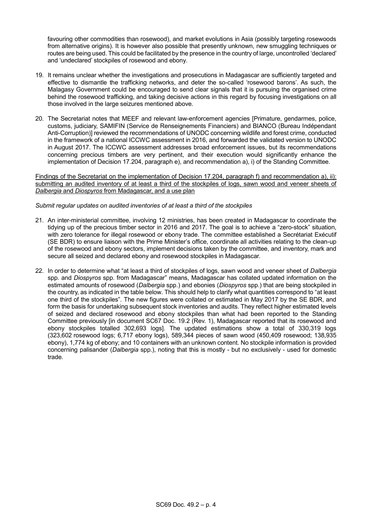favouring other commodities than rosewood), and market evolutions in Asia (possibly targeting rosewoods from alternative origins). It is however also possible that presently unknown, new smuggling techniques or routes are being used. This could be facilitated by the presence in the country of large, uncontrolled 'declared' and 'undeclared' stockpiles of rosewood and ebony.

- 19. It remains unclear whether the investigations and prosecutions in Madagascar are sufficiently targeted and effective to dismantle the trafficking networks, and deter the so-called 'rosewood barons'. As such, the Malagasy Government could be encouraged to send clear signals that it is pursuing the organised crime behind the rosewood trafficking, and taking decisive actions in this regard by focusing investigations on all those involved in the large seizures mentioned above.
- 20. The Secretariat notes that MEEF and relevant law-enforcement agencies [Primature, gendarmes, police, customs, judiciary, SAMIFIN (Service de Renseignements Financiers) and BIANCO (Bureau Indépendant Anti-Corruption)] reviewed the recommendations of UNODC concerning wildlife and forest crime, conducted in the framework of a national ICCWC assessment in 2016, and forwarded the validated version to UNODC in August 2017. The ICCWC assessment addresses broad enforcement issues, but its recommendations concerning precious timbers are very pertinent, and their execution would significantly enhance the implementation of Decision 17.204, paragraph e), and recommendation a), i) of the Standing Committee.

Findings of the Secretariat on the implementation of Decision 17.204, paragraph f) and recommendation a), ii): submitting an audited inventory of at least a third of the stockpiles of logs, sawn wood and veneer sheets of *Dalbergia* and *Diospyros* from Madagascar, and a use plan

# *Submit regular updates on audited inventories of at least a third of the stockpiles*

- 21. An inter-ministerial committee, involving 12 ministries, has been created in Madagascar to coordinate the tidying up of the precious timber sector in 2016 and 2017. The goal is to achieve a "zero-stock" situation, with zero tolerance for illegal rosewood or ebony trade. The committee established a Secrétariat Exécutif (SE BDR) to ensure liaison with the Prime Minister's office, coordinate all activities relating to the clean-up of the rosewood and ebony sectors, implement decisions taken by the committee, and inventory, mark and secure all seized and declared ebony and rosewood stockpiles in Madagascar.
- 22. In order to determine what "at least a third of stockpiles of logs, sawn wood and veneer sheet of *Dalbergia* spp. and *Diospyros* spp. from Madagascar" means, Madagascar has collated updated information on the estimated amounts of rosewood (*Dalbergia* spp.) and ebonies (*Diospyros* spp.) that are being stockpiled in the country, as indicated in the table below. This should help to clarify what quantities correspond to "at least one third of the stockpiles". The new figures were collated or estimated in May 2017 by the SE BDR, and form the basis for undertaking subsequent stock inventories and audits. They reflect higher estimated levels of seized and declared rosewood and ebony stockpiles than what had been reported to the Standing Committee previously [in document SC67 Doc. 19.2 (Rev. 1), Madagascar reported that its rosewood and ebony stockpiles totalled 302,693 logs]. The updated estimations show a total of 330,319 logs (323,602 rosewood logs; 6,717 ebony logs), 589,344 pieces of sawn wood (450,409 rosewood; 138,935 ebony), 1,774 kg of ebony; and 10 containers with an unknown content. No stockpile information is provided concerning palisander (*Dalbergia* spp.), noting that this is mostly - but no exclusively - used for domestic trade.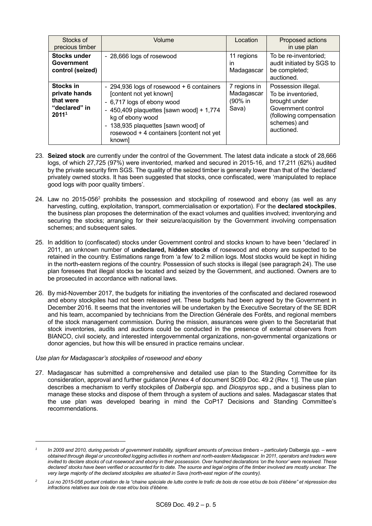| Stocks of<br>precious timber                                                  | Volume                                                                                                                                                                                                                                                            | Location                                       | Proposed actions<br>in use plan                                                                                                           |
|-------------------------------------------------------------------------------|-------------------------------------------------------------------------------------------------------------------------------------------------------------------------------------------------------------------------------------------------------------------|------------------------------------------------|-------------------------------------------------------------------------------------------------------------------------------------------|
| <b>Stocks under</b><br>Government<br>control (seized)                         | - 28,666 logs of rosewood                                                                                                                                                                                                                                         | 11 regions<br>ın<br>Madagascar                 | To be re-inventoried;<br>audit initiated by SGS to<br>be completed;<br>auctioned.                                                         |
| Stocks in<br>private hands<br>that were<br>"declared" in<br>2011 <sup>1</sup> | - 294,936 logs of rosewood + 6 containers<br>[content not yet known]<br>- 6,717 logs of ebony wood<br>- 450,409 plaquettes [sawn wood] + $1,774$<br>kg of ebony wood<br>- 138,935 plaquettes [sawn wood] of<br>rosewood + 4 containers [content not yet<br>knownl | 7 regions in<br>Madagascar<br>(90% in<br>Sava) | Possession illegal.<br>To be inventoried,<br>brought under<br>Government control<br>(following compensation<br>schemes) and<br>auctioned. |

- 23. **Seized stock** are currently under the control of the Government. The latest data indicate a stock of 28,666 logs, of which 27,725 (97%) were inventoried, marked and secured in 2015-16, and 17,211 (62%) audited by the private security firm SGS. The quality of the seized timber is generally lower than that of the 'declared' privately owned stocks. It has been suggested that stocks, once confiscated, were 'manipulated to replace good logs with poor quality timbers'.
- 24. Law no 2015-056<sup>2</sup> prohibits the possession and stockpiling of rosewood and ebony (as well as any harvesting, cutting, exploitation, transport, commercialisation or exportation). For the **declared stockpiles**, the business plan proposes the determination of the exact volumes and qualities involved; inventorying and securing the stocks; arranging for their seizure/acquisition by the Government involving compensation schemes; and subsequent sales.
- 25. In addition to (confiscated) stocks under Government control and stocks known to have been "declared' in 2011, an unknown number of **undeclared, hidden stocks** of rosewood and ebony are suspected to be retained in the country. Estimations range from 'a few' to 2 million logs. Most stocks would be kept in hiding in the north-eastern regions of the country. Possession of such stocks is illegal (see paragraph 24). The use plan foresees that illegal stocks be located and seized by the Government, and auctioned. Owners are to be prosecuted in accordance with national laws.
- 26. By mid-November 2017, the budgets for initiating the inventories of the confiscated and declared rosewood and ebony stockpiles had not been released yet. These budgets had been agreed by the Government in December 2016. It seems that the inventories will be undertaken by the Executive Secretary of the SE BDR and his team, accompanied by technicians from the Direction Générale des Forêts, and regional members of the stock management commission. During the mission, assurances were given to the Secretariat that stock inventories, audits and auctions could be conducted in the presence of external observers from BIANCO, civil society, and interested intergovernmental organizations, non-governmental organizations or donor agencies, but how this will be ensured in practice remains unclear.

# *Use plan for Madagascar's stockpiles of rosewood and ebony*

-

27. Madagascar has submitted a comprehensive and detailed use plan to the Standing Committee for its consideration, approval and further guidance [Annex 4 of document SC69 Doc. 49.2 (Rev. 1)]. The use plan describes a mechanism to verify stockpiles of *Dalbergia* spp. and *Diospyros* spp., and a business plan to manage these stocks and dispose of them through a system of auctions and sales. Madagascar states that the use plan was developed bearing in mind the CoP17 Decisions and Standing Committee's recommendations.

*<sup>1</sup> In 2009 and 2010, during periods of government instability, significant amounts of precious timbers – particularly* Dalbergia *spp. – were obtained through illegal or uncontrolled logging activities in northern and north-eastern Madagascar. In 2011, operators and traders were invited to declare stocks of cut rosewood and ebony in their possession. Over hundred declarations 'on the honor' were received. These declared' stocks have been verified or accounted for to date. The source and legal origins of the timber involved are mostly unclear. The very large majority of the declared stockpiles are situated in Sava (north-east region of the country).* 

Loi no 2015-056 portant création de la "chaine spéciale de lutte contre le trafic de bois de rose et/ou de bois d'ébène" et répression des *infractions relatives aux bois de rose et/ou bois d'ébène.*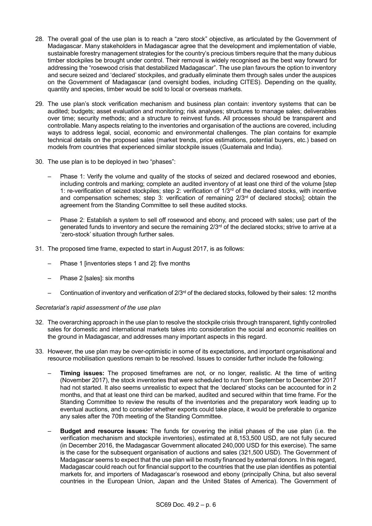- 28. The overall goal of the use plan is to reach a "zero stock" objective, as articulated by the Government of Madagascar. Many stakeholders in Madagascar agree that the development and implementation of viable, sustainable forestry management strategies for the country's precious timbers require that the many dubious timber stockpiles be brought under control. Their removal is widely recognised as the best way forward for addressing the "rosewood crisis that destabilized Madagascar". The use plan favours the option to inventory and secure seized and 'declared' stockpiles, and gradually eliminate them through sales under the auspices on the Government of Madagascar (and oversight bodies, including CITES). Depending on the quality, quantity and species, timber would be sold to local or overseas markets.
- 29. The use plan's stock verification mechanism and business plan contain: inventory systems that can be audited; budgets; asset evaluation and monitoring; risk analyses; structures to manage sales; deliverables over time; security methods; and a structure to reinvest funds. All processes should be transparent and controllable. Many aspects relating to the inventories and organisation of the auctions are covered, including ways to address legal, social, economic and environmental challenges. The plan contains for example technical details on the proposed sales (market trends, price estimations, potential buyers, etc.) based on models from countries that experienced similar stockpile issues (Guatemala and India).
- 30. The use plan is to be deployed in two "phases":
	- Phase 1: Verify the volume and quality of the stocks of seized and declared rosewood and ebonies, including controls and marking; complete an audited inventory of at least one third of the volume [step 1: re-verification of seized stockpiles; step 2: verification of 1/3rd of the declared stocks, with incentive and compensation schemes; step 3: verification of remaining 2/3<sup>rd</sup> of declared stocks]; obtain the agreement from the Standing Committee to sell these audited stocks.
	- Phase 2: Establish a system to sell off rosewood and ebony, and proceed with sales; use part of the generated funds to inventory and secure the remaining  $2/3<sup>rd</sup>$  of the declared stocks; strive to arrive at a 'zero-stock' situation through further sales.
- 31. The proposed time frame, expected to start in August 2017, is as follows:
	- Phase 1 [inventories steps 1 and 2]: five months
	- Phase 2 [sales]: six months
	- Continuation of inventory and verification of 2/3rd of the declared stocks, followed by their sales: 12 months

## *Secretariat's rapid assessment of the use plan*

- 32. The overarching approach in the use plan to resolve the stockpile crisis through transparent, tightly controlled sales for domestic and international markets takes into consideration the social and economic realities on the ground in Madagascar, and addresses many important aspects in this regard.
- 33. However, the use plan may be over-optimistic in some of its expectations, and important organisational and resource mobilisation questions remain to be resolved. Issues to consider further include the following:
	- **Timing issues:** The proposed timeframes are not, or no longer, realistic. At the time of writing (November 2017), the stock inventories that were scheduled to run from September to December 2017 had not started. It also seems unrealistic to expect that the 'declared' stocks can be accounted for in 2 months, and that at least one third can be marked, audited and secured within that time frame. For the Standing Committee to review the results of the inventories and the preparatory work leading up to eventual auctions, and to consider whether exports could take place, it would be preferable to organize any sales after the 70th meeting of the Standing Committee.
	- **Budget and resource issues:** The funds for covering the initial phases of the use plan (i.e. the verification mechanism and stockpile inventories), estimated at 8,153,500 USD, are not fully secured (in December 2016, the Madagascar Government allocated 240,000 USD for this exercise). The same is the case for the subsequent organisation of auctions and sales (321,500 USD). The Government of Madagascar seems to expect that the use plan will be mostly financed by external donors. In this regard, Madagascar could reach out for financial support to the countries that the use plan identifies as potential markets for, and importers of Madagascar's rosewood and ebony (principally China, but also several countries in the European Union, Japan and the United States of America). The Government of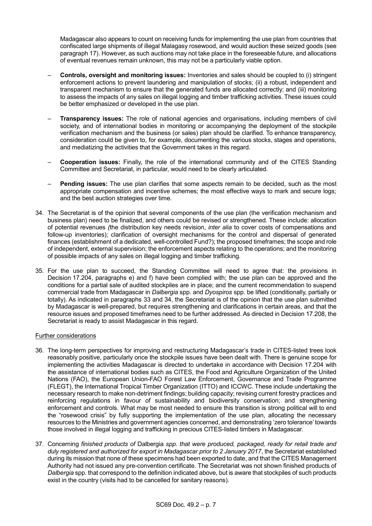Madagascar also appears to count on receiving funds for implementing the use plan from countries that confiscated large shipments of illegal Malagasy rosewood, and would auction these seized goods (see paragraph 17). However, as such auctions may not take place in the foreseeable future, and allocations of eventual revenues remain unknown, this may not be a particularly viable option.

- **Controls, oversight and monitoring issues:** Inventories and sales should be coupled to (i) stringent enforcement actions to prevent laundering and manipulation of stocks; (ii) a robust, independent and transparent mechanism to ensure that the generated funds are allocated correctly; and (iii) monitoring to assess the impacts of any sales on illegal logging and timber trafficking activities. These issues could be better emphasized or developed in the use plan.
- **Transparency issues:** The role of national agencies and organisations, including members of civil society, and of international bodies in monitoring or accompanying the deployment of the stockpile verification mechanism and the business (or sales) plan should be clarified. To enhance transparency, consideration could be given to, for example, documenting the various stocks, stages and operations, and mediatizing the activities that the Government takes in this regard.
- **Cooperation issues:** Finally, the role of the international community and of the CITES Standing Committee and Secretariat, in particular, would need to be clearly articulated.
- **Pending issues:** The use plan clarifies that some aspects remain to be decided, such as the most appropriate compensation and incentive schemes; the most effective ways to mark and secure logs; and the best auction strategies over time.
- 34. The Secretariat is of the opinion that several components of the use plan (the verification mechanism and business plan) need to be finalized, and others could be revised or strengthened. These include: allocation of potential revenues *(*the distribution key needs revision, *inter alia* to cover costs of compensations and follow-up inventories); clarification of oversight mechanisms for the control and dispersal of generated finances (establishment of a dedicated, well-controlled Fund?); the proposed timeframes; the scope and role of independent, external supervision; the enforcement aspects relating to the operations; and the monitoring of possible impacts of any sales on illegal logging and timber trafficking.
- 35. For the use plan to succeed, the Standing Committee will need to agree that: the provisions in Decision 17.204, paragraphs e) and f) have been complied with; the use plan can be approved and the conditions for a partial sale of audited stockpiles are in place; and the current recommendation to suspend commercial trade from Madagascar in *Dalbergia* spp. and *Dyospiros* spp. be lifted (conditionally, partially or totally). As indicated in paragraphs 33 and 34, the Secretariat is of the opinion that the use plan submitted by Madagascar is well-prepared, but requires strengthening and clarifications in certain areas, and that the resource issues and proposed timeframes need to be further addressed. As directed in Decision 17.208, the Secretariat is ready to assist Madagascar in this regard.

# Further considerations

- 36. The long-term perspectives for improving and restructuring Madagascar's trade in CITES-listed trees look reasonably positive, particularly once the stockpile issues have been dealt with. There is genuine scope for implementing the activities Madagascar is directed to undertake in accordance with Decision 17.204 with the assistance of international bodies such as CITES, the Food and Agriculture Organization of the United Nations (FAO), the European Union-FAO Forest Law Enforcement, Governance and Trade Programme (FLEGT), the International Tropical Timber Organization (ITTO) and ICCWC. These include undertaking the necessary research to make non-detriment findings; building capacity; revising current forestry practices and reinforcing regulations in favour of sustainability and biodiversity conservation; and strengthening enforcement and controls. What may be most needed to ensure this transition is strong political will to end the "rosewood crisis" by fully supporting the implementation of the use plan, allocating the necessary resources to the Ministries and government agencies concerned, and demonstrating 'zero tolerance' towards those involved in illegal logging and trafficking in precious CITES-listed timbers in Madagascar.
- 37. Concerning *finished products of* Dalbergia *spp. that were produced, packaged, ready for retail trade and duly registered and authorized for export in Madagascar prior to 2 January 2017*, the Secretariat established during its mission that none of these specimens had been exported to date, and that the CITES Management Authority had not issued any pre-convention certificate. The Secretariat was not shown finished products of *Dalbergia* spp. that correspond to the definition indicated above, but is aware that stockpiles of such products exist in the country (visits had to be cancelled for sanitary reasons).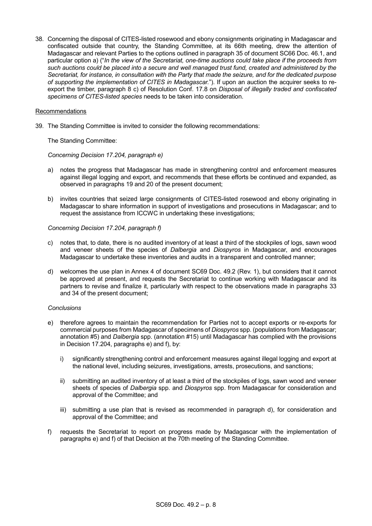38. Concerning the disposal of CITES-listed rosewood and ebony consignments originating in Madagascar and confiscated outside that country, the Standing Committee, at its 66th meeting, drew the attention of Madagascar and relevant Parties to the options outlined in paragraph 35 of document SC66 Doc. 46.1, and particular option a) ("*In the view of the Secretariat, one-time auctions could take place if the proceeds from such auctions could be placed into a secure and well managed trust fund, created and administered by the Secretariat, for instance, in consultation with the Party that made the seizure, and for the dedicated purpose of supporting the implementation of CITES in Madagascar.*"). If upon an auction the acquirer seeks to reexport the timber, paragraph 8 c) of Resolution Conf. 17.8 on *Disposal of illegally traded and confiscated specimens of CITES-listed species* needs to be taken into consideration.

### Recommendations

39. The Standing Committee is invited to consider the following recommendations:

The Standing Committee:

### *Concerning Decision 17.204, paragraph e)*

- a) notes the progress that Madagascar has made in strengthening control and enforcement measures against illegal logging and export, and recommends that these efforts be continued and expanded, as observed in paragraphs 19 and 20 of the present document;
- b) invites countries that seized large consignments of CITES-listed rosewood and ebony originating in Madagascar to share information in support of investigations and prosecutions in Madagascar; and to request the assistance from ICCWC in undertaking these investigations;

#### *Concerning Decision 17.204, paragraph f)*

- c) notes that, to date, there is no audited inventory of at least a third of the stockpiles of logs, sawn wood and veneer sheets of the species of *Dalbergia* and *Diospyros* in Madagascar, and encourages Madagascar to undertake these inventories and audits in a transparent and controlled manner;
- d) welcomes the use plan in Annex 4 of document SC69 Doc. 49.2 (Rev. 1), but considers that it cannot be approved at present, and requests the Secretariat to continue working with Madagascar and its partners to revise and finalize it, particularly with respect to the observations made in paragraphs 33 and 34 of the present document;

#### *Conclusions*

- e) therefore agrees to maintain the recommendation for Parties not to accept exports or re-exports for commercial purposes from Madagascar of specimens of *Diospyros* spp. (populations from Madagascar; annotation #5) and *Dalbergia* spp. (annotation #15) until Madagascar has complied with the provisions in Decision 17.204, paragraphs e) and f), by:
	- i) significantly strengthening control and enforcement measures against illegal logging and export at the national level, including seizures, investigations, arrests, prosecutions, and sanctions;
	- ii) submitting an audited inventory of at least a third of the stockpiles of logs, sawn wood and veneer sheets of species of *Dalbergia* spp. and *Diospyros* spp. from Madagascar for consideration and approval of the Committee; and
	- iii) submitting a use plan that is revised as recommended in paragraph d), for consideration and approval of the Committee; and
- f) requests the Secretariat to report on progress made by Madagascar with the implementation of paragraphs e) and f) of that Decision at the 70th meeting of the Standing Committee.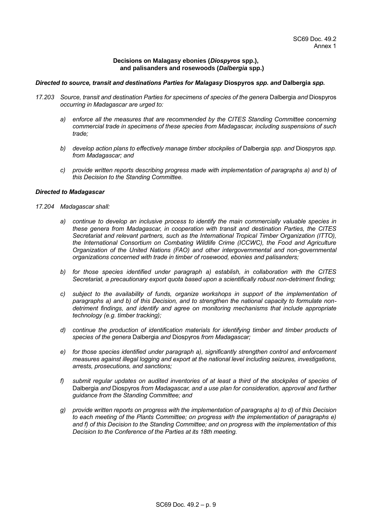## **Decisions on Malagasy ebonies (***Diospyros* **spp.), and palisanders and rosewoods (***Dalbergia* **spp.)**

### *Directed to source, transit and destinations Parties for Malagasy* **Diospyros** *spp. and* **Dalbergia** *spp.*

- *17.203 Source, transit and destination Parties for specimens of species of the genera* Dalbergia *and* Diospyros *occurring in Madagascar are urged to:*
	- *a) enforce all the measures that are recommended by the CITES Standing Committee concerning commercial trade in specimens of these species from Madagascar, including suspensions of such trade;*
	- *b) develop action plans to effectively manage timber stockpiles of* Dalbergia *spp. and* Diospyros *spp. from Madagascar; and*
	- *c) provide written reports describing progress made with implementation of paragraphs a) and b) of this Decision to the Standing Committee.*

# *Directed to Madagascar*

- *17.204 Madagascar shall:*
	- *a) continue to develop an inclusive process to identify the main commercially valuable species in these genera from Madagascar, in cooperation with transit and destination Parties, the CITES Secretariat and relevant partners, such as the International Tropical Timber Organization (ITTO), the International Consortium on Combating Wildlife Crime (ICCWC), the Food and Agriculture Organization of the United Nations (FAO) and other intergovernmental and non-governmental organizations concerned with trade in timber of rosewood, ebonies and palisanders;*
	- *b) for those species identified under paragraph a) establish, in collaboration with the CITES Secretariat, a precautionary export quota based upon a scientifically robust non-detriment finding;*
	- *c) subject to the availability of funds, organize workshops in support of the implementation of paragraphs a) and b) of this Decision, and to strengthen the national capacity to formulate nondetriment findings, and identify and agree on monitoring mechanisms that include appropriate technology (e.g. timber tracking);*
	- *d) continue the production of identification materials for identifying timber and timber products of species of the genera* Dalbergia *and* Diospyros *from Madagascar;*
	- *e) for those species identified under paragraph a), significantly strengthen control and enforcement measures against illegal logging and export at the national level including seizures, investigations, arrests, prosecutions, and sanctions;*
	- *f) submit regular updates on audited inventories of at least a third of the stockpiles of species of*  Dalbergia *and* Diospyros *from Madagascar, and a use plan for consideration, approval and further guidance from the Standing Committee; and*
	- *g) provide written reports on progress with the implementation of paragraphs a) to d) of this Decision to each meeting of the Plants Committee; on progress with the implementation of paragraphs e) and f) of this Decision to the Standing Committee; and on progress with the implementation of this Decision to the Conference of the Parties at its 18th meeting.*